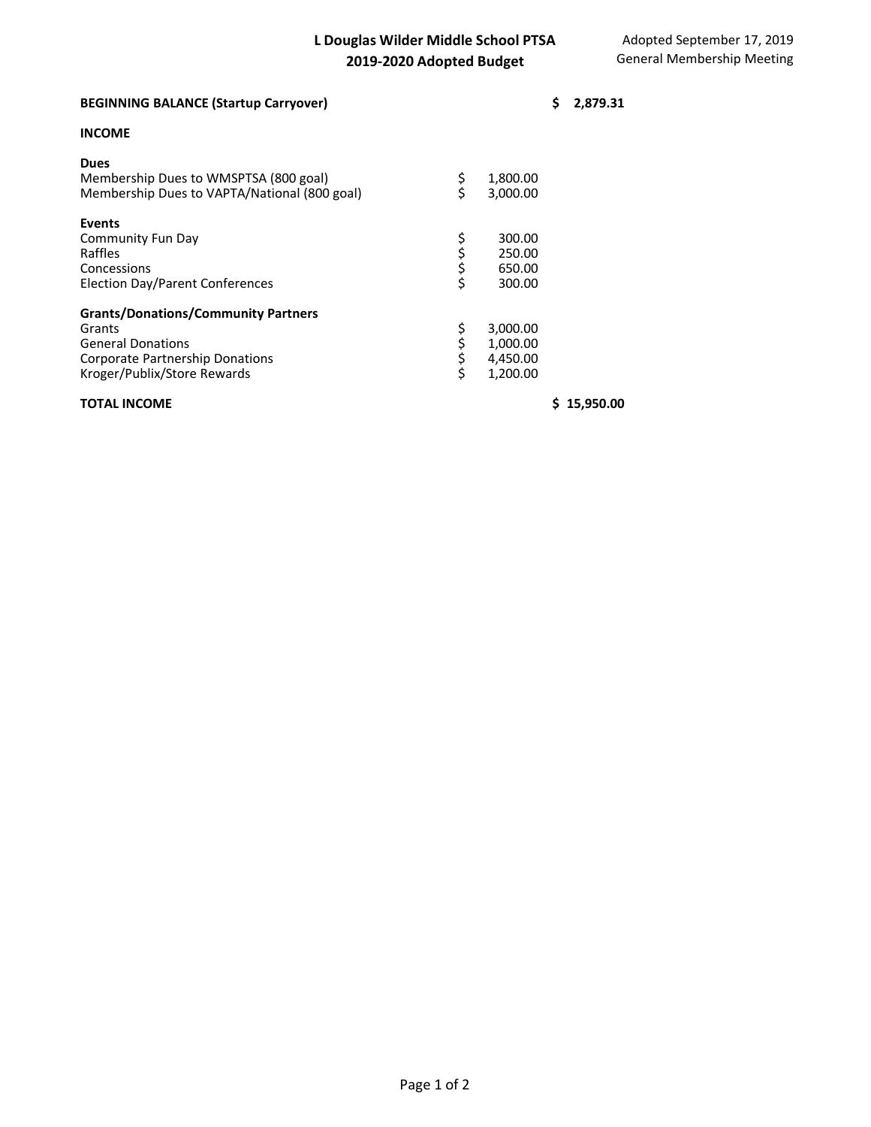| <b>BEGINNING BALANCE (Startup Carryover)</b>                                                                                                       |             |                                              | \$<br>2,879.31 |
|----------------------------------------------------------------------------------------------------------------------------------------------------|-------------|----------------------------------------------|----------------|
| <b>INCOME</b>                                                                                                                                      |             |                                              |                |
| <b>Dues</b><br>Membership Dues to WMSPTSA (800 goal)<br>Membership Dues to VAPTA/National (800 goal)                                               | \$<br>S     | 1,800.00<br>3.000.00                         |                |
| <b>Events</b><br>Community Fun Day<br>Raffles<br>Concessions<br>Election Day/Parent Conferences                                                    | らひぐ         | 300.00<br>250.00<br>650.00<br>300.00         |                |
| <b>Grants/Donations/Community Partners</b><br>Grants<br><b>General Donations</b><br>Corporate Partnership Donations<br>Kroger/Publix/Store Rewards | \$ \$ \$ \$ | 3,000.00<br>1,000.00<br>4,450.00<br>1,200.00 |                |

## **TOTAL INCOME \$ 15,950.00**